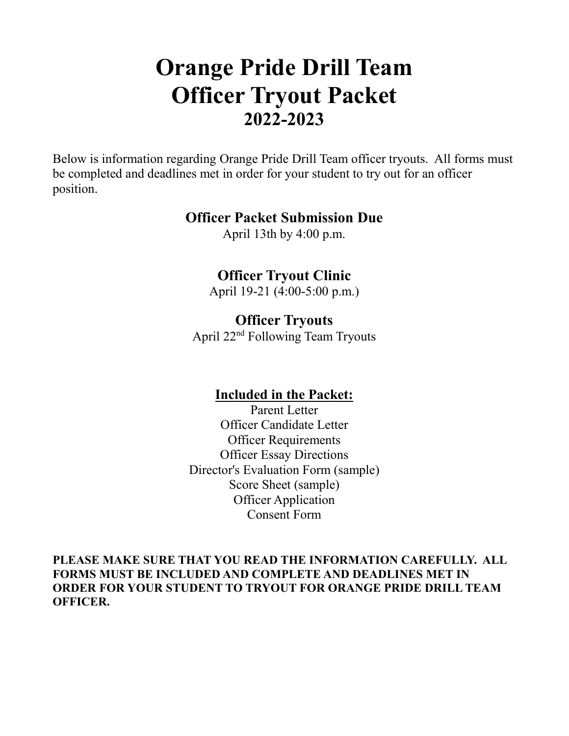# **Orange Pride Drill Team Officer Tryout Packet 2022-2023**

Below is information regarding Orange Pride Drill Team officer tryouts. All forms must be completed and deadlines met in order for your student to try out for an officer position.

#### **Officer Packet Submission Due**

April 13th by 4:00 p.m.

## **Officer Tryout Clinic**

April 19-21 (4:00-5:00 p.m.)

## **Officer Tryouts**

April 22nd Following Team Tryouts

## **Included in the Packet:**

Parent Letter Officer Candidate Letter Officer Requirements Officer Essay Directions Director's Evaluation Form (sample) Score Sheet (sample) Officer Application Consent Form

**PLEASE MAKE SURE THAT YOU READ THE INFORMATION CAREFULLY. ALL FORMS MUST BE INCLUDED AND COMPLETE AND DEADLINES MET IN ORDER FOR YOUR STUDENT TO TRYOUT FOR ORANGE PRIDE DRILL TEAM OFFICER.**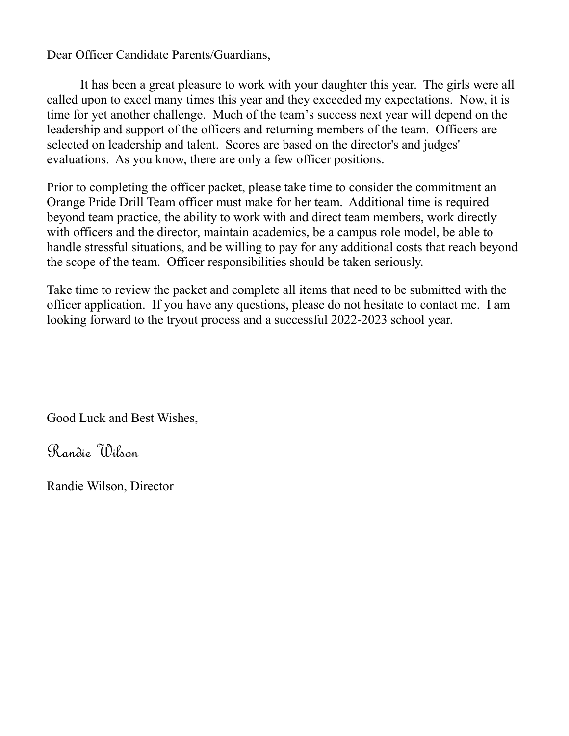Dear Officer Candidate Parents/Guardians,

It has been a great pleasure to work with your daughter this year. The girls were all called upon to excel many times this year and they exceeded my expectations. Now, it is time for yet another challenge. Much of the team's success next year will depend on the leadership and support of the officers and returning members of the team. Officers are selected on leadership and talent. Scores are based on the director's and judges' evaluations. As you know, there are only a few officer positions.

Prior to completing the officer packet, please take time to consider the commitment an Orange Pride Drill Team officer must make for her team. Additional time is required beyond team practice, the ability to work with and direct team members, work directly with officers and the director, maintain academics, be a campus role model, be able to handle stressful situations, and be willing to pay for any additional costs that reach beyond the scope of the team. Officer responsibilities should be taken seriously.

Take time to review the packet and complete all items that need to be submitted with the officer application. If you have any questions, please do not hesitate to contact me. I am looking forward to the tryout process and a successful 2022-2023 school year.

Good Luck and Best Wishes,

Randie Wilson

Randie Wilson, Director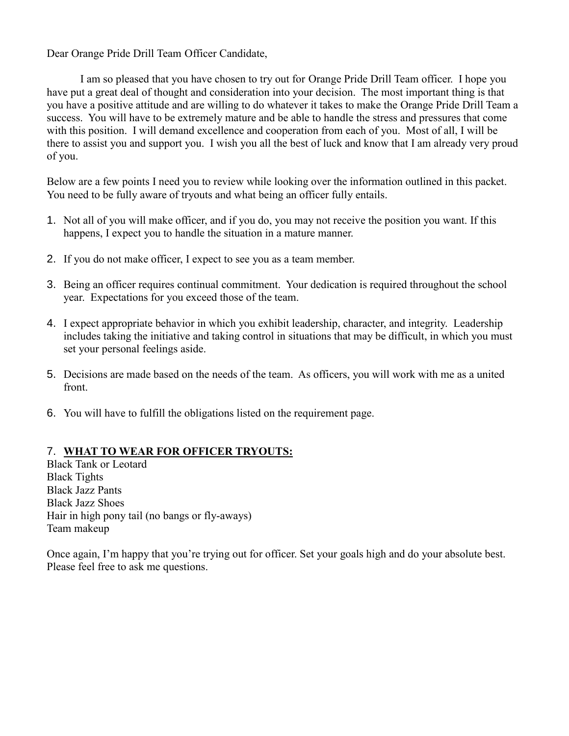Dear Orange Pride Drill Team Officer Candidate,

I am so pleased that you have chosen to try out for Orange Pride Drill Team officer. I hope you have put a great deal of thought and consideration into your decision. The most important thing is that you have a positive attitude and are willing to do whatever it takes to make the Orange Pride Drill Team a success. You will have to be extremely mature and be able to handle the stress and pressures that come with this position. I will demand excellence and cooperation from each of you. Most of all, I will be there to assist you and support you. I wish you all the best of luck and know that I am already very proud of you.

Below are a few points I need you to review while looking over the information outlined in this packet. You need to be fully aware of tryouts and what being an officer fully entails.

- 1. Not all of you will make officer, and if you do, you may not receive the position you want. If this happens, I expect you to handle the situation in a mature manner.
- 2. If you do not make officer, I expect to see you as a team member.
- 3. Being an officer requires continual commitment. Your dedication is required throughout the school year. Expectations for you exceed those of the team.
- 4. I expect appropriate behavior in which you exhibit leadership, character, and integrity. Leadership includes taking the initiative and taking control in situations that may be difficult, in which you must set your personal feelings aside.
- 5. Decisions are made based on the needs of the team. As officers, you will work with me as a united front.
- 6. You will have to fulfill the obligations listed on the requirement page.

#### 7. **WHAT TO WEAR FOR OFFICER TRYOUTS:**

Black Tank or Leotard Black Tights Black Jazz Pants Black Jazz Shoes Hair in high pony tail (no bangs or fly-aways) Team makeup

Once again, I'm happy that you're trying out for officer. Set your goals high and do your absolute best. Please feel free to ask me questions.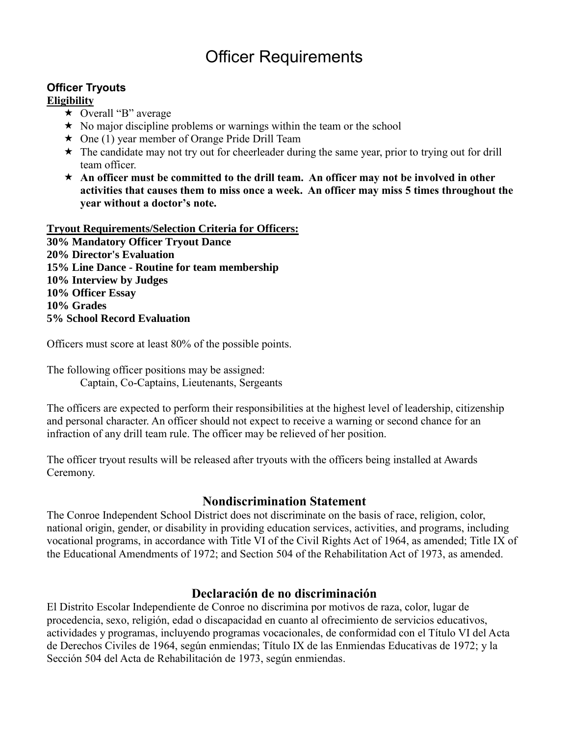## Officer Requirements

#### **Officer Tryouts**

#### **Eligibility**

- $\star$  Overall "B" average
- $\star$  No major discipline problems or warnings within the team or the school
- $\star$  One (1) year member of Orange Pride Drill Team
- $\star$  The candidate may not try out for cheerleader during the same year, prior to trying out for drill team officer.
- **An officer must be committed to the drill team. An officer may not be involved in other activities that causes them to miss once a week. An officer may miss 5 times throughout the year without a doctor's note.**

**Tryout Requirements/Selection Criteria for Officers: 30% Mandatory Officer Tryout Dance 20% Director's Evaluation 15% Line Dance - Routine for team membership 10% Interview by Judges 10% Officer Essay 10% Grades 5% School Record Evaluation**

Officers must score at least 80% of the possible points.

The following officer positions may be assigned: Captain, Co-Captains, Lieutenants, Sergeants

The officers are expected to perform their responsibilities at the highest level of leadership, citizenship and personal character. An officer should not expect to receive a warning or second chance for an infraction of any drill team rule. The officer may be relieved of her position.

The officer tryout results will be released after tryouts with the officers being installed at Awards Ceremony.

#### **Nondiscrimination Statement**

The Conroe Independent School District does not discriminate on the basis of race, religion, color, national origin, gender, or disability in providing education services, activities, and programs, including vocational programs, in accordance with Title VI of the Civil Rights Act of 1964, as amended; Title IX of the Educational Amendments of 1972; and Section 504 of the Rehabilitation Act of 1973, as amended.

#### **Declaración de no discriminación**

El Distrito Escolar Independiente de Conroe no discrimina por motivos de raza, color, lugar de procedencia, sexo, religión, edad o discapacidad en cuanto al ofrecimiento de servicios educativos, actividades y programas, incluyendo programas vocacionales, de conformidad con el Título VI del Acta de Derechos Civiles de 1964, según enmiendas; Título IX de las Enmiendas Educativas de 1972; y la Sección 504 del Acta de Rehabilitación de 1973, según enmiendas.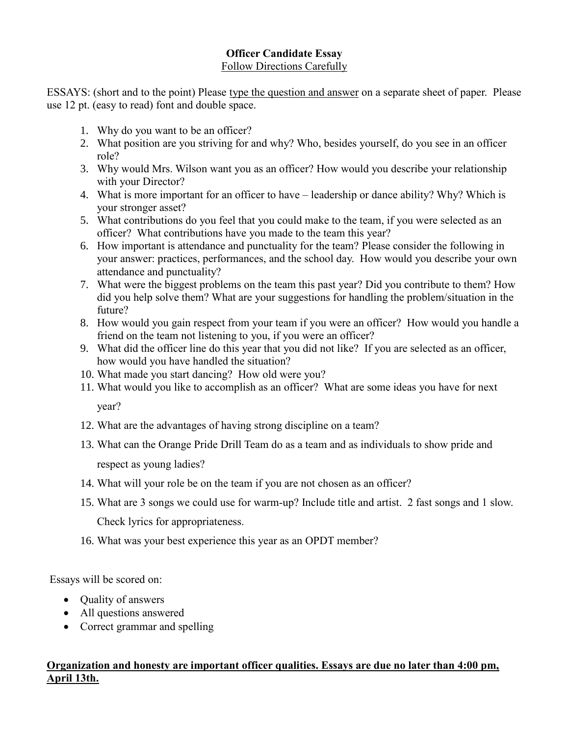#### **Officer Candidate Essay** Follow Directions Carefully

ESSAYS: (short and to the point) Please type the question and answer on a separate sheet of paper. Please use 12 pt. (easy to read) font and double space.

- 1. Why do you want to be an officer?
- 2. What position are you striving for and why? Who, besides yourself, do you see in an officer role?
- 3. Why would Mrs. Wilson want you as an officer? How would you describe your relationship with your Director?
- 4. What is more important for an officer to have leadership or dance ability? Why? Which is your stronger asset?
- 5. What contributions do you feel that you could make to the team, if you were selected as an officer? What contributions have you made to the team this year?
- 6. How important is attendance and punctuality for the team? Please consider the following in your answer: practices, performances, and the school day. How would you describe your own attendance and punctuality?
- 7. What were the biggest problems on the team this past year? Did you contribute to them? How did you help solve them? What are your suggestions for handling the problem/situation in the future?
- 8. How would you gain respect from your team if you were an officer? How would you handle a friend on the team not listening to you, if you were an officer?
- 9. What did the officer line do this year that you did not like? If you are selected as an officer, how would you have handled the situation?
- 10. What made you start dancing? How old were you?
- 11. What would you like to accomplish as an officer? What are some ideas you have for next year?
- 12. What are the advantages of having strong discipline on a team?
- 13. What can the Orange Pride Drill Team do as a team and as individuals to show pride and respect as young ladies?
- 14. What will your role be on the team if you are not chosen as an officer?
- 15. What are 3 songs we could use for warm-up? Include title and artist. 2 fast songs and 1 slow.

Check lyrics for appropriateness.

16. What was your best experience this year as an OPDT member?

Essays will be scored on:

- Quality of answers
- All questions answered
- Correct grammar and spelling

#### **Organization and honesty are important officer qualities. Essays are due no later than 4:00 pm, April 13th.**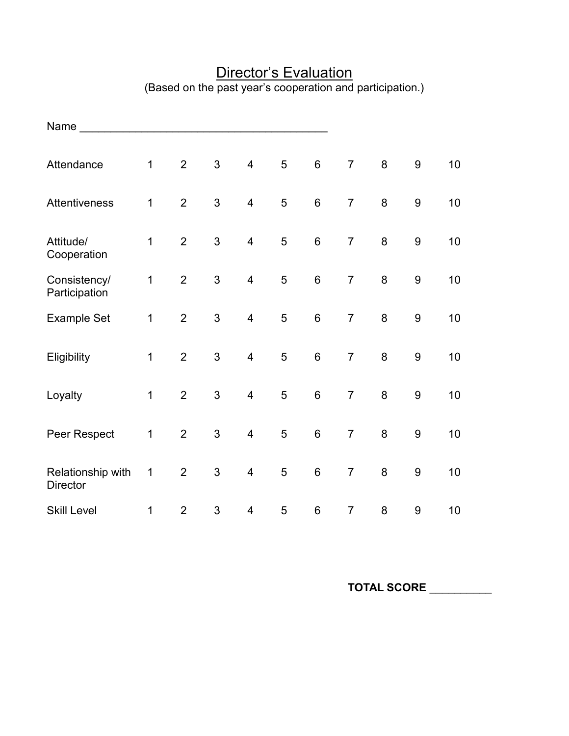| Name                                 |             |                |                           |                         |   |                 |                |         |                  |    |
|--------------------------------------|-------------|----------------|---------------------------|-------------------------|---|-----------------|----------------|---------|------------------|----|
| Attendance                           | $\mathbf 1$ | $\overline{2}$ | 3                         | $\overline{4}$          | 5 | $6\phantom{1}$  | $\overline{7}$ | 8       | $\boldsymbol{9}$ | 10 |
| Attentiveness                        | $\mathbf 1$ | $\overline{2}$ | 3                         | $\overline{\mathbf{4}}$ | 5 | $6\phantom{1}6$ | $\overline{7}$ | 8       | $\boldsymbol{9}$ | 10 |
| Attitude/<br>Cooperation             | $\mathbf 1$ | $\overline{2}$ | 3                         | $\overline{\mathbf{4}}$ | 5 | $6\phantom{1}6$ | $\overline{7}$ | $\bf 8$ | 9                | 10 |
| Consistency/<br>Participation        | $\mathbf 1$ | $\overline{2}$ | 3                         | $\overline{\mathbf{4}}$ | 5 | $6\phantom{1}6$ | $\overline{7}$ | 8       | $\boldsymbol{9}$ | 10 |
| <b>Example Set</b>                   | 1           | $\overline{2}$ | 3                         | $\overline{\mathbf{4}}$ | 5 | $6\phantom{1}6$ | $\overline{7}$ | 8       | $\boldsymbol{9}$ | 10 |
| Eligibility                          | $\mathbf 1$ | $\overline{2}$ | 3                         | $\overline{\mathbf{4}}$ | 5 | $6\phantom{1}6$ | $\overline{7}$ | 8       | 9                | 10 |
| Loyalty                              | $\mathbf 1$ | $\overline{2}$ | 3                         | $\overline{\mathbf{4}}$ | 5 | $6\phantom{1}6$ | $\overline{7}$ | 8       | $\boldsymbol{9}$ | 10 |
| Peer Respect                         | $\mathbf 1$ | $\overline{2}$ | 3                         | $\overline{\mathbf{4}}$ | 5 | $6\phantom{1}6$ | $\overline{7}$ | 8       | $\boldsymbol{9}$ | 10 |
| Relationship with<br><b>Director</b> | $\mathbf 1$ | $\overline{2}$ | 3                         | $\overline{4}$          | 5 | $6\phantom{1}6$ | $\overline{7}$ | 8       | 9                | 10 |
| <b>Skill Level</b>                   | $\mathbf 1$ | $\overline{2}$ | $\ensuremath{\mathsf{3}}$ | $\overline{4}$          | 5 | $\,6$           | $\overline{7}$ | $\bf 8$ | 9                | 10 |

### **Director's Evaluation** (Based on the past year's cooperation and participation.)

**TOTAL SCORE** \_\_\_\_\_\_\_\_\_\_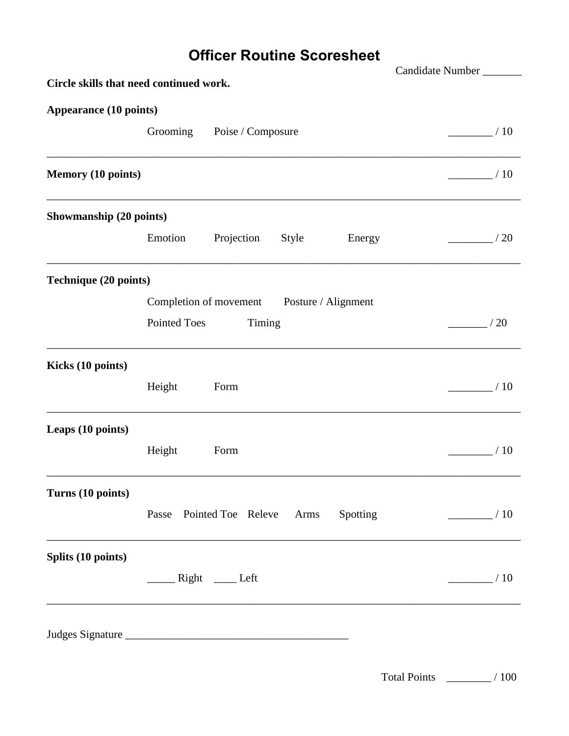## **Officer Routine Scoresheet**

| Circle skills that need continued work. |              |                                            |       |          | Candidate Number_    |
|-----------------------------------------|--------------|--------------------------------------------|-------|----------|----------------------|
|                                         |              |                                            |       |          |                      |
| <b>Appearance (10 points)</b>           |              |                                            |       |          |                      |
|                                         | Grooming     | Poise / Composure                          |       |          | /10                  |
|                                         |              |                                            |       |          |                      |
| <b>Memory (10 points)</b>               |              |                                            |       |          | /10                  |
| Showmanship (20 points)                 |              |                                            |       |          |                      |
|                                         | Emotion      | Projection                                 | Style | Energy   | /20                  |
| Technique (20 points)                   |              |                                            |       |          |                      |
|                                         |              | Completion of movement Posture / Alignment |       |          |                      |
|                                         | Pointed Toes | Timing                                     |       |          | /20                  |
| Kicks (10 points)                       |              |                                            |       |          |                      |
|                                         | Height       | Form                                       |       |          | /10                  |
| Leaps (10 points)                       |              |                                            |       |          |                      |
|                                         | Height       | Form                                       |       |          | /10                  |
| Turns (10 points)                       |              |                                            |       |          |                      |
|                                         |              | Passe Pointed Toe Releve                   | Arms  | Spotting | $\frac{\ }{\ }$ / 10 |
| Splits (10 points)                      |              |                                            |       |          |                      |
|                                         |              |                                            |       |          | /10                  |
|                                         |              |                                            |       |          |                      |
|                                         |              |                                            |       |          |                      |